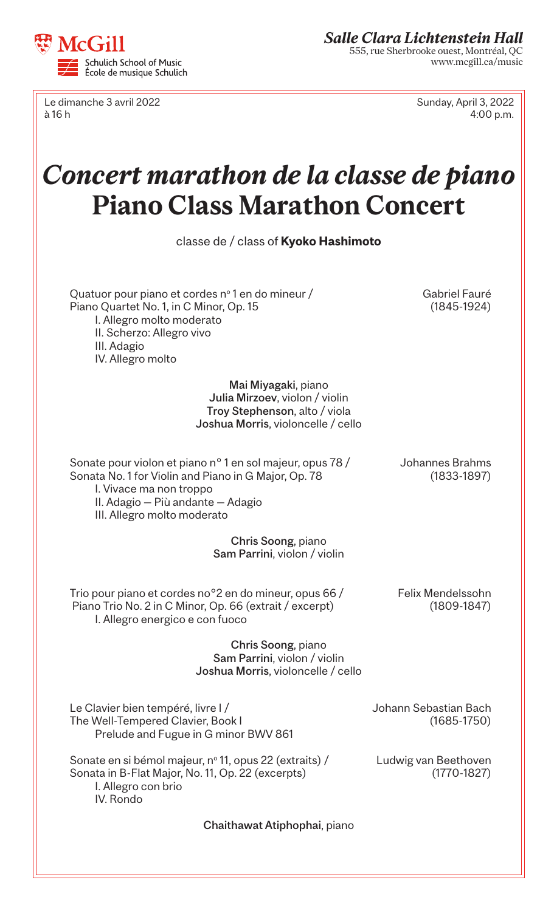

Le dimanche 3 avril 2022 Sunday, April 3, 2022 à 16 h 4:00 p.m.

## *Concert marathon de la classe de piano*  **Piano Class Marathon Concert**

| TAHO CRASS MAARACHUM CUNCCI C                                                                                                                                                                                    |                                          |  |
|------------------------------------------------------------------------------------------------------------------------------------------------------------------------------------------------------------------|------------------------------------------|--|
| classe de / class of Kyoko Hashimoto                                                                                                                                                                             |                                          |  |
| Quatuor pour piano et cordes n° 1 en do mineur /<br>Piano Quartet No. 1, in C Minor, Op. 15<br>I. Allegro molto moderato<br>II. Scherzo: Allegro vivo<br>III. Adagio<br>IV. Allegro molto                        | Gabriel Fauré<br>$(1845-1924)$           |  |
| Mai Miyagaki, piano<br>Julia Mirzoev, violon / violin<br>Troy Stephenson, alto / viola<br>Joshua Morris, violoncelle / cello                                                                                     |                                          |  |
| Sonate pour violon et piano n° 1 en sol majeur, opus 78 /<br>Sonata No. 1 for Violin and Piano in G Major, Op. 78<br>I. Vivace ma non troppo<br>II. Adagio - Più andante - Adagio<br>III. Allegro molto moderato | Johannes Brahms<br>$(1833 - 1897)$       |  |
| Chris Soong, piano<br>Sam Parrini, violon / violin                                                                                                                                                               |                                          |  |
| Trio pour piano et cordes no <sup>o</sup> 2 en do mineur, opus 66 /<br>Piano Trio No. 2 in C Minor, Op. 66 (extrait / excerpt)<br>I. Allegro energico e con fuoco                                                | Felix Mendelssohn<br>$(1809 - 1847)$     |  |
| Chris Soong, piano<br>Sam Parrini, violon / violin<br>Joshua Morris, violoncelle / cello                                                                                                                         |                                          |  |
| Le Clavier bien tempéré, livre l/<br>The Well-Tempered Clavier, Book I<br>Prelude and Fugue in G minor BWV 861                                                                                                   | Johann Sebastian Bach<br>$(1685 - 1750)$ |  |
| Sonate en si bémol majeur, nº 11, opus 22 (extraits) /<br>Sonata in B-Flat Major, No. 11, Op. 22 (excerpts)<br>I. Allegro con brio<br>IV. Rondo                                                                  | Ludwig van Beethoven<br>$(1770 - 1827)$  |  |
| Chaithawat Atiphophai, piano                                                                                                                                                                                     |                                          |  |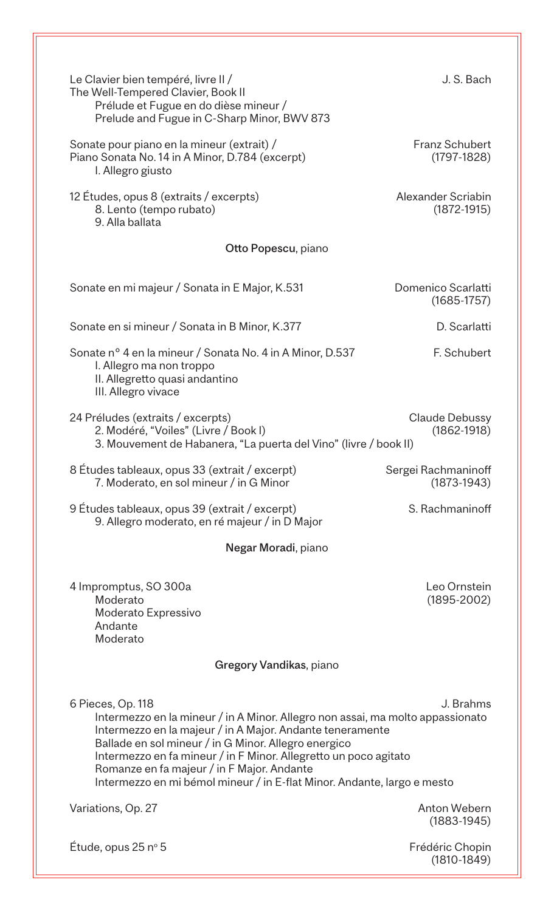| Le Clavier bien tempéré, livre II /<br>The Well-Tempered Clavier, Book II<br>Prélude et Fugue en do dièse mineur /<br>Prelude and Fugue in C-Sharp Minor, BWV 873                                                                                                                                                                                                                                                                  | J. S. Bach                             |  |
|------------------------------------------------------------------------------------------------------------------------------------------------------------------------------------------------------------------------------------------------------------------------------------------------------------------------------------------------------------------------------------------------------------------------------------|----------------------------------------|--|
| Sonate pour piano en la mineur (extrait) /<br>Piano Sonata No. 14 in A Minor, D.784 (excerpt)<br>I. Allegro giusto                                                                                                                                                                                                                                                                                                                 | <b>Franz Schubert</b><br>$(1797-1828)$ |  |
| 12 Études, opus 8 (extraits / excerpts)<br>8. Lento (tempo rubato)<br>9. Alla ballata                                                                                                                                                                                                                                                                                                                                              | Alexander Scriabin<br>$(1872 - 1915)$  |  |
| Otto Popescu, piano                                                                                                                                                                                                                                                                                                                                                                                                                |                                        |  |
| Sonate en mi majeur / Sonata in E Major, K.531                                                                                                                                                                                                                                                                                                                                                                                     | Domenico Scarlatti<br>$(1685 - 1757)$  |  |
| Sonate en si mineur / Sonata in B Minor, K.377                                                                                                                                                                                                                                                                                                                                                                                     | D. Scarlatti                           |  |
| Sonate nº 4 en la mineur / Sonata No. 4 in A Minor, D.537<br>I. Allegro ma non troppo<br>II. Allegretto quasi andantino<br>III. Allegro vivace                                                                                                                                                                                                                                                                                     | F. Schubert                            |  |
| 24 Préludes (extraits / excerpts)<br>Claude Debussy<br>2. Modéré, "Voiles" (Livre / Book I)<br>$(1862 - 1918)$<br>3. Mouvement de Habanera, "La puerta del Vino" (livre / book II)                                                                                                                                                                                                                                                 |                                        |  |
| 8 Études tableaux, opus 33 (extrait / excerpt)<br>7. Moderato, en sol mineur / in G Minor                                                                                                                                                                                                                                                                                                                                          | Sergei Rachmaninoff<br>$(1873-1943)$   |  |
| 9 Études tableaux, opus 39 (extrait / excerpt)<br>9. Allegro moderato, en ré majeur / in D Major                                                                                                                                                                                                                                                                                                                                   | S. Rachmaninoff                        |  |
| Negar Moradi, piano                                                                                                                                                                                                                                                                                                                                                                                                                |                                        |  |
| 4 Impromptus, SO 300a<br>Moderato<br>Moderato Expressivo<br>Andante<br>Moderato                                                                                                                                                                                                                                                                                                                                                    | Leo Ornstein<br>$(1895 - 2002)$        |  |
| Gregory Vandikas, piano                                                                                                                                                                                                                                                                                                                                                                                                            |                                        |  |
| 6 Pieces, Op. 118<br>J. Brahms<br>Intermezzo en la mineur / in A Minor. Allegro non assai, ma molto appassionato<br>Intermezzo en la majeur / in A Major. Andante teneramente<br>Ballade en sol mineur / in G Minor. Allegro energico<br>Intermezzo en fa mineur / in F Minor. Allegretto un poco agitato<br>Romanze en fa majeur / in F Major. Andante<br>Intermezzo en mi bémol mineur / in E-flat Minor. Andante, largo e mesto |                                        |  |
| Variations, Op. 27                                                                                                                                                                                                                                                                                                                                                                                                                 | <b>Anton Webern</b><br>$(1883 - 1945)$ |  |
| Etude, opus $25 no 5$                                                                                                                                                                                                                                                                                                                                                                                                              | Frédéric Chopin<br>$(1810 - 1849)$     |  |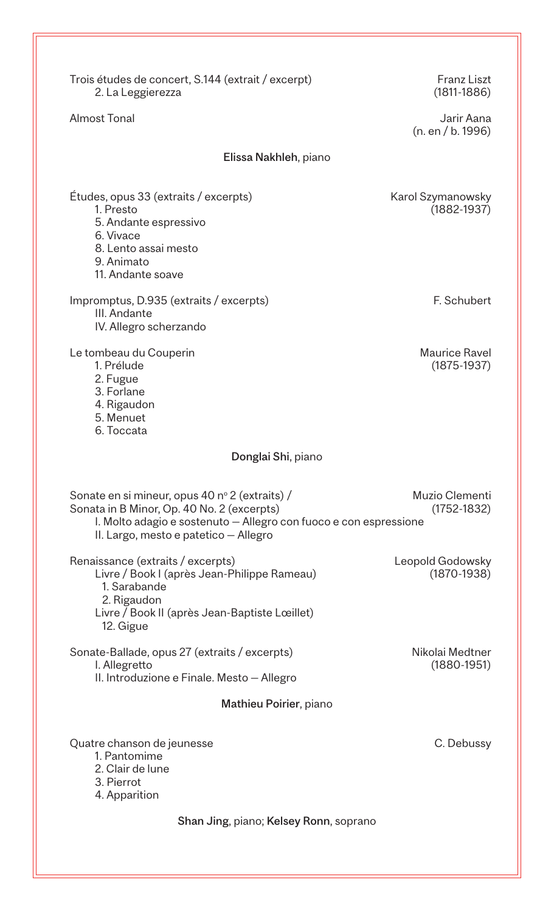| Trois études de concert, S.144 (extrait / excerpt)<br>2. La Leggierezza                                                                                                                                    | <b>Franz Liszt</b><br>$(1811 - 1886)$ |  |
|------------------------------------------------------------------------------------------------------------------------------------------------------------------------------------------------------------|---------------------------------------|--|
| <b>Almost Tonal</b>                                                                                                                                                                                        | Jarir Aana<br>(n. en / b. 1996)       |  |
| Elissa Nakhleh, piano                                                                                                                                                                                      |                                       |  |
| Études, opus 33 (extraits / excerpts)<br>1. Presto<br>5. Andante espressivo<br>6. Vivace<br>8. Lento assai mesto<br>9. Animato<br>11. Andante soave                                                        | Karol Szymanowsky<br>$(1882 - 1937)$  |  |
| Impromptus, D.935 (extraits / excerpts)<br>III. Andante<br>IV. Allegro scherzando                                                                                                                          | F. Schubert                           |  |
| Le tombeau du Couperin<br>1. Prélude<br>2. Fugue<br>3. Forlane<br>4. Rigaudon<br>5. Menuet<br>6. Toccata                                                                                                   | <b>Maurice Ravel</b><br>$(1875-1937)$ |  |
| Donglai Shi, piano                                                                                                                                                                                         |                                       |  |
| Sonate en si mineur, opus 40 nº 2 (extraits) /<br>Sonata in B Minor, Op. 40 No. 2 (excerpts)<br>I. Molto adagio e sostenuto - Allegro con fuoco e con espressione<br>II. Largo, mesto e patetico - Allegro | Muzio Clementi<br>$(1752 - 1832)$     |  |
| Renaissance (extraits / excerpts)<br>Livre / Book I (après Jean-Philippe Rameau)<br>1. Sarabande<br>2. Rigaudon<br>Livre / Book II (après Jean-Baptiste Lœillet)<br>12. Gigue                              | Leopold Godowsky<br>$(1870-1938)$     |  |
| Sonate-Ballade, opus 27 (extraits / excerpts)<br>I. Allegretto<br>II. Introduzione e Finale. Mesto - Allegro                                                                                               | Nikolai Medtner<br>$(1880 - 1951)$    |  |
| Mathieu Poirier, piano                                                                                                                                                                                     |                                       |  |
| Quatre chanson de jeunesse<br>1. Pantomime<br>2. Clair de lune<br>3. Pierrot<br>4. Apparition                                                                                                              | C. Debussy                            |  |
| Shan Jing, piano; Kelsey Ronn, soprano                                                                                                                                                                     |                                       |  |